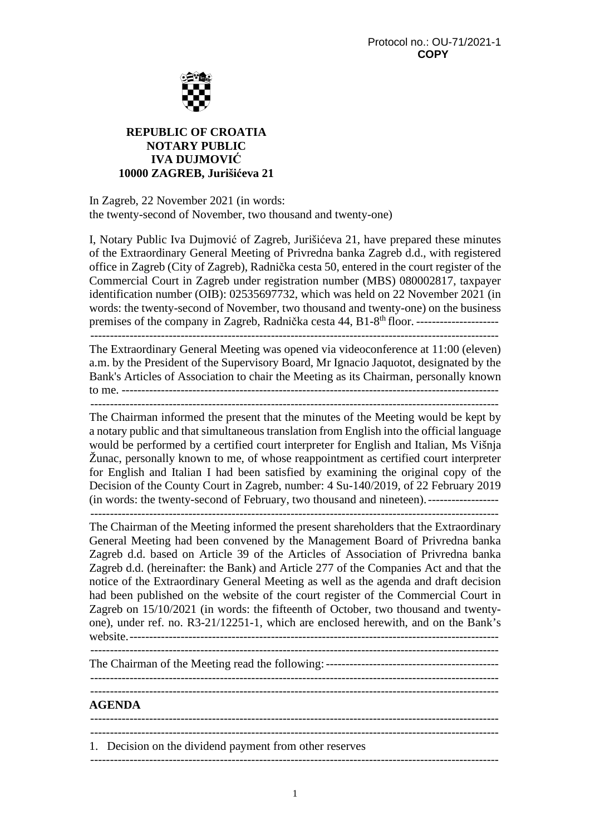

## **REPUBLIC OF CROATIA NOTARY PUBLIC IVA DUJMOVIĆ 10000 ZAGREB, Jurišićeva 21**

In Zagreb, 22 November 2021 (in words: the twenty-second of November, two thousand and twenty-one)

I, Notary Public Iva Dujmović of Zagreb, Jurišićeva 21, have prepared these minutes of the Extraordinary General Meeting of Privredna banka Zagreb d.d., with registered office in Zagreb (City of Zagreb), Radnička cesta 50, entered in the court register of the Commercial Court in Zagreb under registration number (MBS) 080002817, taxpayer identification number (OIB): 02535697732, which was held on 22 November 2021 (in words: the twenty-second of November, two thousand and twenty-one) on the business premises of the company in Zagreb, Radnička cesta 44, B1-8th floor. ---------------------

--------------------------------------------------------------------------------------------------------

The Extraordinary General Meeting was opened via videoconference at 11:00 (eleven) a.m. by the President of the Supervisory Board, Mr Ignacio Jaquotot, designated by the Bank's Articles of Association to chair the Meeting as its Chairman, personally known to me. ------------------------------------------------------------------------------------------------

--------------------------------------------------------------------------------------------------------

The Chairman informed the present that the minutes of the Meeting would be kept by a notary public and that simultaneous translation from English into the official language would be performed by a certified court interpreter for English and Italian, Ms Višnja Žunac, personally known to me, of whose reappointment as certified court interpreter for English and Italian I had been satisfied by examining the original copy of the Decision of the County Court in Zagreb, number: 4 Su-140/2019, of 22 February 2019 (in words: the twenty-second of February, two thousand and nineteen). ------------------

--------------------------------------------------------------------------------------------------------

The Chairman of the Meeting informed the present shareholders that the Extraordinary General Meeting had been convened by the Management Board of Privredna banka Zagreb d.d. based on Article 39 of the Articles of Association of Privredna banka Zagreb d.d. (hereinafter: the Bank) and Article 277 of the Companies Act and that the notice of the Extraordinary General Meeting as well as the agenda and draft decision had been published on the website of the court register of the Commercial Court in Zagreb on 15/10/2021 (in words: the fifteenth of October, two thousand and twentyone), under ref. no. R3-21/12251-1, which are enclosed herewith, and on the Bank's website. ----------------------------------------------------------------------------------------------

The Chairman of the Meeting read the following: --------------------------------------------

 -------------------------------------------------------------------------------------------------------- --------------------------------------------------------------------------------------------------------

## **AGENDA**

 -------------------------------------------------------------------------------------------------------- --------------------------------------------------------------------------------------------------------

1. Decision on the dividend payment from other reserves

--------------------------------------------------------------------------------------------------------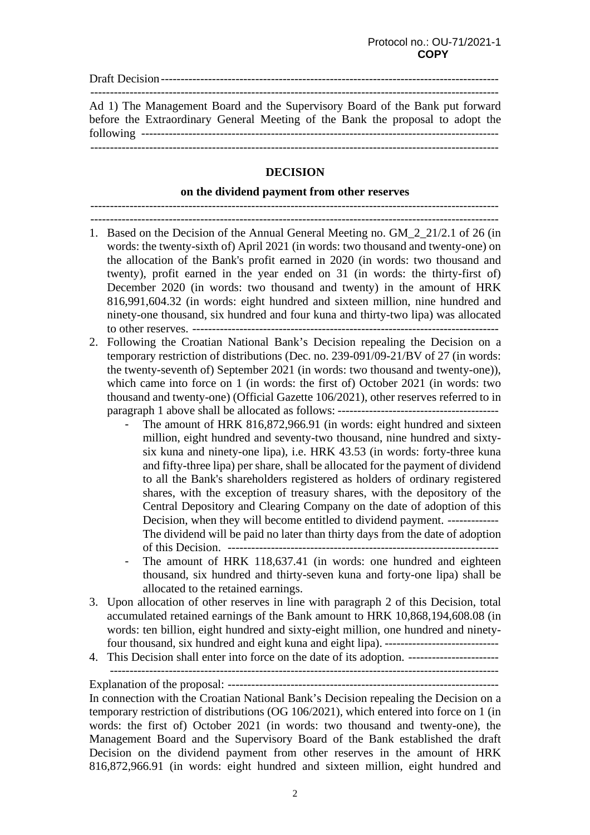Draft Decision -------------------------------------------------------------------------------------- -------------------------------------------------------------------------------------------------------- Ad 1) The Management Board and the Supervisory Board of the Bank put forward before the Extraordinary General Meeting of the Bank the proposal to adopt the following -------------------------------------------------------------------------------------------

--------------------------------------------------------------------------------------------------------

## **DECISION**

## **on the dividend payment from other reserves**

 -------------------------------------------------------------------------------------------------------- --------------------------------------------------------------------------------------------------------

- 1. Based on the Decision of the Annual General Meeting no. GM\_2\_21/2.1 of 26 (in words: the twenty-sixth of) April 2021 (in words: two thousand and twenty-one) on the allocation of the Bank's profit earned in 2020 (in words: two thousand and twenty), profit earned in the year ended on 31 (in words: the thirty-first of) December 2020 (in words: two thousand and twenty) in the amount of HRK 816,991,604.32 (in words: eight hundred and sixteen million, nine hundred and ninety-one thousand, six hundred and four kuna and thirty-two lipa) was allocated to other reserves. ------------------------------------------------------------------------------
- 2. Following the Croatian National Bank's Decision repealing the Decision on a temporary restriction of distributions (Dec. no. 239-091/09-21/BV of 27 (in words: the twenty-seventh of) September 2021 (in words: two thousand and twenty-one)), which came into force on 1 (in words: the first of) October 2021 (in words: two thousand and twenty-one) (Official Gazette 106/2021), other reserves referred to in paragraph 1 above shall be allocated as follows: -----------------------------------------
	- The amount of HRK 816,872,966.91 (in words: eight hundred and sixteen million, eight hundred and seventy-two thousand, nine hundred and sixtysix kuna and ninety-one lipa), i.e. HRK 43.53 (in words: forty-three kuna and fifty-three lipa) per share, shall be allocated for the payment of dividend to all the Bank's shareholders registered as holders of ordinary registered shares, with the exception of treasury shares, with the depository of the Central Depository and Clearing Company on the date of adoption of this Decision, when they will become entitled to dividend payment. -------------The dividend will be paid no later than thirty days from the date of adoption of this Decision. ---------------------------------------------------------------------
	- The amount of HRK 118,637.41 (in words: one hundred and eighteen thousand, six hundred and thirty-seven kuna and forty-one lipa) shall be allocated to the retained earnings.
- 3. Upon allocation of other reserves in line with paragraph 2 of this Decision, total accumulated retained earnings of the Bank amount to HRK 10,868,194,608.08 (in words: ten billion, eight hundred and sixty-eight million, one hundred and ninetyfour thousand, six hundred and eight kuna and eight lipa). -----------------------------
- 4. This Decision shall enter into force on the date of its adoption. ----------------------- ---------------------------------------------------------------------------------------------------

Explanation of the proposal: ---------------------------------------------------------------------

In connection with the Croatian National Bank's Decision repealing the Decision on a temporary restriction of distributions (OG 106/2021), which entered into force on 1 (in words: the first of) October 2021 (in words: two thousand and twenty-one), the Management Board and the Supervisory Board of the Bank established the draft Decision on the dividend payment from other reserves in the amount of HRK 816,872,966.91 (in words: eight hundred and sixteen million, eight hundred and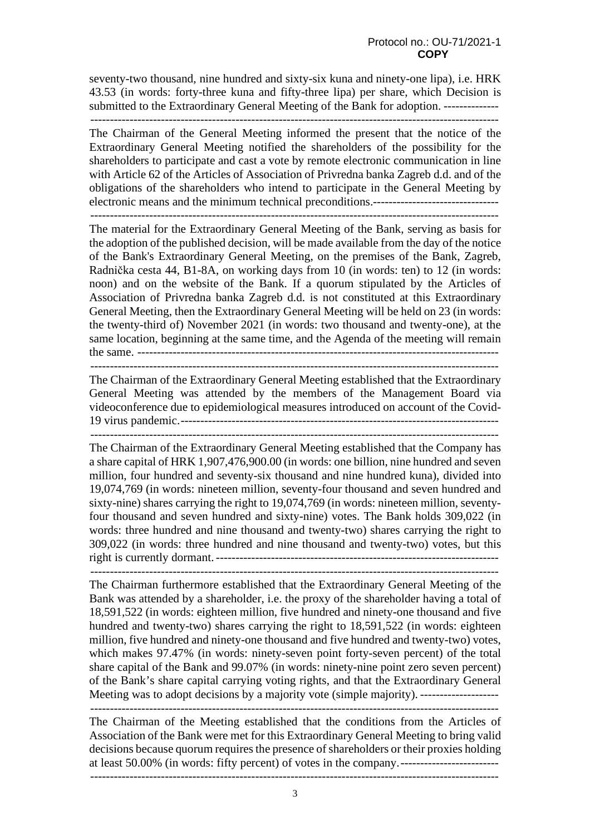seventy-two thousand, nine hundred and sixty-six kuna and ninety-one lipa), i.e. HRK 43.53 (in words: forty-three kuna and fifty-three lipa) per share, which Decision is submitted to the Extraordinary General Meeting of the Bank for adoption. -------------- --------------------------------------------------------------------------------------------------------

The Chairman of the General Meeting informed the present that the notice of the Extraordinary General Meeting notified the shareholders of the possibility for the shareholders to participate and cast a vote by remote electronic communication in line with Article 62 of the Articles of Association of Privredna banka Zagreb d.d. and of the obligations of the shareholders who intend to participate in the General Meeting by electronic means and the minimum technical preconditions.-------------------------------- --------------------------------------------------------------------------------------------------------

The material for the Extraordinary General Meeting of the Bank, serving as basis for the adoption of the published decision, will be made available from the day of the notice of the Bank's Extraordinary General Meeting, on the premises of the Bank, Zagreb, Radnička cesta 44, B1-8A, on working days from 10 (in words: ten) to 12 (in words: noon) and on the website of the Bank. If a quorum stipulated by the Articles of Association of Privredna banka Zagreb d.d. is not constituted at this Extraordinary General Meeting, then the Extraordinary General Meeting will be held on 23 (in words: the twenty-third of) November 2021 (in words: two thousand and twenty-one), at the same location, beginning at the same time, and the Agenda of the meeting will remain

the same. --------------------------------------------------------------------------------------------

 -------------------------------------------------------------------------------------------------------- The Chairman of the Extraordinary General Meeting established that the Extraordinary General Meeting was attended by the members of the Management Board via videoconference due to epidemiological measures introduced on account of the Covid-19 virus pandemic. --------------------------------------------------------------------------------- --------------------------------------------------------------------------------------------------------

The Chairman of the Extraordinary General Meeting established that the Company has a share capital of HRK 1,907,476,900.00 (in words: one billion, nine hundred and seven million, four hundred and seventy-six thousand and nine hundred kuna), divided into 19,074,769 (in words: nineteen million, seventy-four thousand and seven hundred and sixty-nine) shares carrying the right to 19,074,769 (in words: nineteen million, seventyfour thousand and seven hundred and sixty-nine) votes. The Bank holds 309,022 (in words: three hundred and nine thousand and twenty-two) shares carrying the right to 309,022 (in words: three hundred and nine thousand and twenty-two) votes, but this right is currently dormant. ------------------------------------------------------------------------ --------------------------------------------------------------------------------------------------------

The Chairman furthermore established that the Extraordinary General Meeting of the Bank was attended by a shareholder, i.e. the proxy of the shareholder having a total of 18,591,522 (in words: eighteen million, five hundred and ninety-one thousand and five hundred and twenty-two) shares carrying the right to 18,591,522 (in words: eighteen million, five hundred and ninety-one thousand and five hundred and twenty-two) votes, which makes 97.47% (in words: ninety-seven point forty-seven percent) of the total share capital of the Bank and 99.07% (in words: ninety-nine point zero seven percent) of the Bank's share capital carrying voting rights, and that the Extraordinary General Meeting was to adopt decisions by a majority vote (simple majority). -------------------- --------------------------------------------------------------------------------------------------------

The Chairman of the Meeting established that the conditions from the Articles of Association of the Bank were met for this Extraordinary General Meeting to bring valid decisions because quorum requires the presence of shareholders or their proxies holding at least 50.00% (in words: fifty percent) of votes in the company. -------------------------

--------------------------------------------------------------------------------------------------------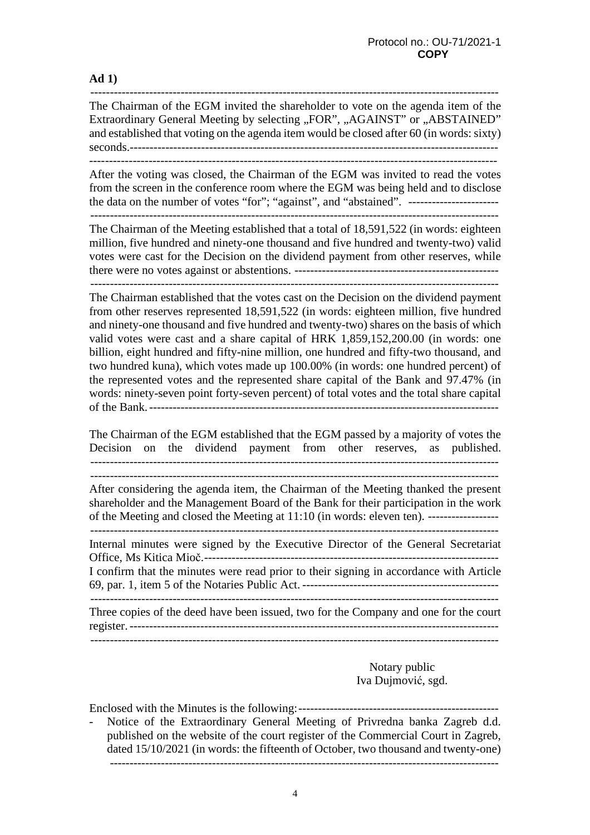**Ad 1)** 

--------------------------------------------------------------------------------------------------------

The Chairman of the EGM invited the shareholder to vote on the agenda item of the Extraordinary General Meeting by selecting "FOR", "AGAINST" or "ABSTAINED" and established that voting on the agenda item would be closed after 60 (in words: sixty) seconds.---------------------------------------------------------------------------------------------

After the voting was closed, the Chairman of the EGM was invited to read the votes from the screen in the conference room where the EGM was being held and to disclose the data on the number of votes "for"; "against", and "abstained". ----------------------- --------------------------------------------------------------------------------------------------------

The Chairman of the Meeting established that a total of 18,591,522 (in words: eighteen million, five hundred and ninety-one thousand and five hundred and twenty-two) valid votes were cast for the Decision on the dividend payment from other reserves, while there were no votes against or abstentions. ----------------------------------------------------

--------------------------------------------------------------------------------------------------------

The Chairman established that the votes cast on the Decision on the dividend payment from other reserves represented 18,591,522 (in words: eighteen million, five hundred and ninety-one thousand and five hundred and twenty-two) shares on the basis of which valid votes were cast and a share capital of HRK 1,859,152,200.00 (in words: one billion, eight hundred and fifty-nine million, one hundred and fifty-two thousand, and two hundred kuna), which votes made up 100.00% (in words: one hundred percent) of the represented votes and the represented share capital of the Bank and 97.47% (in words: ninety-seven point forty-seven percent) of total votes and the total share capital of the Bank. -----------------------------------------------------------------------------------------

The Chairman of the EGM established that the EGM passed by a majority of votes the Decision on the dividend payment from other reserves, as published. --------------------------------------------------------------------------------------------------------

After considering the agenda item, the Chairman of the Meeting thanked the present shareholder and the Management Board of the Bank for their participation in the work of the Meeting and closed the Meeting at 11:10 (in words: eleven ten). ------------------

 -------------------------------------------------------------------------------------------------------- Internal minutes were signed by the Executive Director of the General Secretariat Office, Ms Kitica Mioč. ---------------------------------------------------------------------------

I confirm that the minutes were read prior to their signing in accordance with Article 69, par. 1, item 5 of the Notaries Public Act. -------------------------------------------------- --------------------------------------------------------------------------------------------------------

Three copies of the deed have been issued, two for the Company and one for the court register. ----------------------------------------------------------------------------------------------

> Notary public Iva Dujmović, sgd.

Enclosed with the Minutes is the following: --------------------------------------------------- Notice of the Extraordinary General Meeting of Privredna banka Zagreb d.d.

published on the website of the court register of the Commercial Court in Zagreb, dated 15/10/2021 (in words: the fifteenth of October, two thousand and twenty-one) ---------------------------------------------------------------------------------------------------